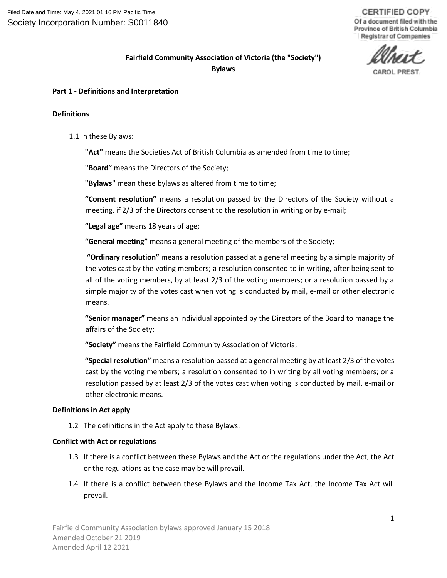**CERTIFIED COPY** Of a document filed with the Province of British Columbia Registrar of Companies

# **Fairfield Community Association of Victoria (the "Society") Bylaws**

#### **Part 1 - Definitions and Interpretation**

#### **Definitions**

1.1 In these Bylaws:

**"Act"** means the Societies Act of British Columbia as amended from time to time;

**"Board"** means the Directors of the Society;

**"Bylaws"** mean these bylaws as altered from time to time;

**"Consent resolution"** means a resolution passed by the Directors of the Society without a meeting, if 2/3 of the Directors consent to the resolution in writing or by e-mail;

**"Legal age"** means 18 years of age;

**"General meeting"** means a general meeting of the members of the Society;

**"Ordinary resolution"** means a resolution passed at a general meeting by a simple majority of the votes cast by the voting members; a resolution consented to in writing, after being sent to all of the voting members, by at least 2/3 of the voting members; or a resolution passed by a simple majority of the votes cast when voting is conducted by mail, e-mail or other electronic means.

**"Senior manager"** means an individual appointed by the Directors of the Board to manage the affairs of the Society;

**"Society"** means the Fairfield Community Association of Victoria;

**"Special resolution"** means a resolution passed at a general meeting by at least 2/3 of the votes cast by the voting members; a resolution consented to in writing by all voting members; or a resolution passed by at least 2/3 of the votes cast when voting is conducted by mail, e-mail or other electronic means.

#### **Definitions in Act apply**

1.2 The definitions in the Act apply to these Bylaws.

#### **Conflict with Act or regulations**

- 1.3 If there is a conflict between these Bylaws and the Act or the regulations under the Act, the Act or the regulations as the case may be will prevail.
- 1.4 If there is a conflict between these Bylaws and the Income Tax Act, the Income Tax Act will prevail.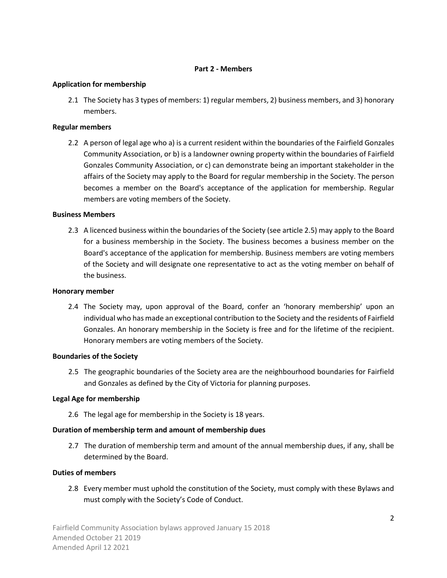#### **Part 2 - Members**

#### **Application for membership**

2.1 The Society has 3 types of members: 1) regular members, 2) business members, and 3) honorary members.

### **Regular members**

2.2 A person of legal age who a) is a current resident within the boundaries of the Fairfield Gonzales Community Association, or b) is a landowner owning property within the boundaries of Fairfield Gonzales Community Association, or c) can demonstrate being an important stakeholder in the affairs of the Society may apply to the Board for regular membership in the Society. The person becomes a member on the Board's acceptance of the application for membership. Regular members are voting members of the Society.

#### **Business Members**

2.3 A licenced business within the boundaries of the Society (see article 2.5) may apply to the Board for a business membership in the Society. The business becomes a business member on the Board's acceptance of the application for membership. Business members are voting members of the Society and will designate one representative to act as the voting member on behalf of the business.

#### **Honorary member**

2.4 The Society may, upon approval of the Board, confer an 'honorary membership' upon an individual who has made an exceptional contribution to the Society and the residents of Fairfield Gonzales. An honorary membership in the Society is free and for the lifetime of the recipient. Honorary members are voting members of the Society.

#### **Boundaries of the Society**

2.5 The geographic boundaries of the Society area are the neighbourhood boundaries for Fairfield and Gonzales as defined by the City of Victoria for planning purposes.

### **Legal Age for membership**

2.6 The legal age for membership in the Society is 18 years.

### **Duration of membership term and amount of membership dues**

2.7 The duration of membership term and amount of the annual membership dues, if any, shall be determined by the Board.

#### **Duties of members**

2.8 Every member must uphold the constitution of the Society, must comply with these Bylaws and must comply with the Society's Code of Conduct.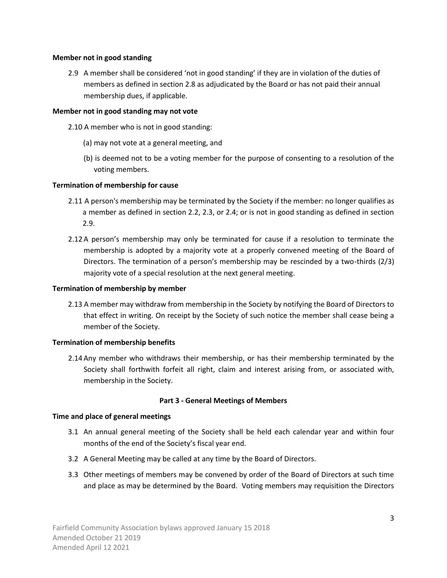#### **Member not in good standing**

2.9 A member shall be considered 'not in good standing' if they are in violation of the duties of members as defined in section 2.8 as adjudicated by the Board or has not paid their annual membership dues, if applicable.

#### **Member not in good standing may not vote**

- 2.10 A member who is not in good standing:
	- (a) may not vote at a general meeting, and
	- (b) is deemed not to be a voting member for the purpose of consenting to a resolution of the voting members.

#### **Termination of membership for cause**

- 2.11 A person's membership may be terminated by the Society if the member: no longer qualifies as a member as defined in section 2.2, 2.3, or 2.4; or is not in good standing as defined in section 2.9.
- 2.12 A person's membership may only be terminated for cause if a resolution to terminate the membership is adopted by a majority vote at a properly convened meeting of the Board of Directors. The termination of a person's membership may be rescinded by a two-thirds (2/3) majority vote of a special resolution at the next general meeting.

#### **Termination of membership by member**

2.13 A member may withdraw from membership in the Society by notifying the Board of Directors to that effect in writing. On receipt by the Society of such notice the member shall cease being a member of the Society.

#### **Termination of membership benefits**

2.14 Any member who withdraws their membership, or has their membership terminated by the Society shall forthwith forfeit all right, claim and interest arising from, or associated with, membership in the Society.

### **Part 3 - General Meetings of Members**

#### **Time and place of general meetings**

- 3.1 An annual general meeting of the Society shall be held each calendar year and within four months of the end of the Society's fiscal year end.
- 3.2 A General Meeting may be called at any time by the Board of Directors.
- 3.3 Other meetings of members may be convened by order of the Board of Directors at such time and place as may be determined by the Board. Voting members may requisition the Directors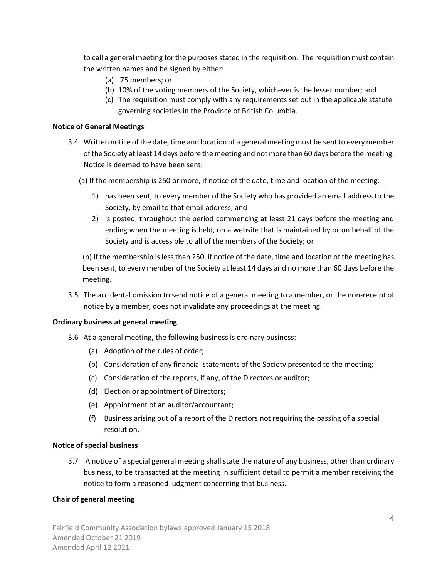to call a general meeting for the purposes stated in the requisition. The requisition must contain the written names and be signed by either:

- (a) 75 members; or
- (b) 10% of the voting members of the Society, whichever is the lesser number; and
- (c) The requisition must comply with any requirements set out in the applicable statute governing societies in the Province of British Columbia.

#### **Notice of General Meetings**

- 3.4 Written notice of the date, time and location of a general meeting must be sent to every member of the Society at least 14 days before the meeting and not more than 60 days before the meeting. Notice is deemed to have been sent:
	- (a) If the membership is 250 or more, if notice of the date, time and location of the meeting:
		- 1) has been sent, to every member of the Society who has provided an email address to the Society, by email to that email address, and
		- 2) is posted, throughout the period commencing at least 21 days before the meeting and ending when the meeting is held, on a website that is maintained by or on behalf of the Society and is accessible to all of the members of the Society; or

(b) If the membership is less than 250, if notice of the date, time and location of the meeting has been sent, to every member of the Society at least 14 days and no more than 60 days before the meeting.

3.5 The accidental omission to send notice of a general meeting to a member, or the non-receipt of notice by a member, does not invalidate any proceedings at the meeting.

#### **Ordinary business at general meeting**

- 3.6 At a general meeting, the following business is ordinary business:
	- (a) Adoption of the rules of order;
	- (b) Consideration of any financial statements of the Society presented to the meeting;
	- (c) Consideration of the reports, if any, of the Directors or auditor;
	- (d) Election or appointment of Directors;
	- (e) Appointment of an auditor/accountant;
	- (f) Business arising out of a report of the Directors not requiring the passing of a special resolution.

#### **Notice of special business**

3.7 A notice of a special general meeting shall state the nature of any business, other than ordinary business, to be transacted at the meeting in sufficient detail to permit a member receiving the notice to form a reasoned judgment concerning that business.

#### **Chair of general meeting**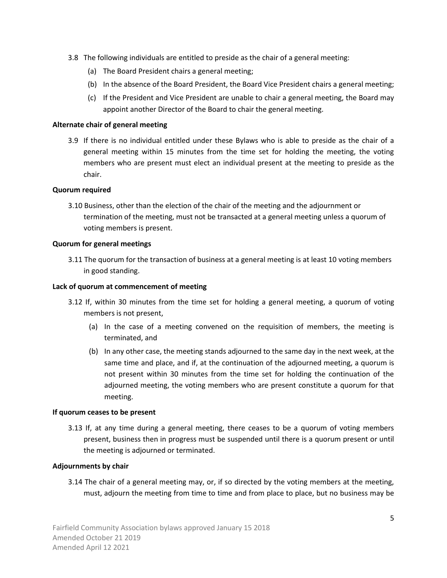- 3.8 The following individuals are entitled to preside as the chair of a general meeting:
	- (a) The Board President chairs a general meeting;
	- (b) In the absence of the Board President, the Board Vice President chairs a general meeting;
	- (c) If the President and Vice President are unable to chair a general meeting, the Board may appoint another Director of the Board to chair the general meeting.

### **Alternate chair of general meeting**

3.9 If there is no individual entitled under these Bylaws who is able to preside as the chair of a general meeting within 15 minutes from the time set for holding the meeting, the voting members who are present must elect an individual present at the meeting to preside as the chair.

### **Quorum required**

3.10 Business, other than the election of the chair of the meeting and the adjournment or termination of the meeting, must not be transacted at a general meeting unless a quorum of voting members is present.

### **Quorum for general meetings**

3.11 The quorum for the transaction of business at a general meeting is at least 10 voting members in good standing.

### **Lack of quorum at commencement of meeting**

- 3.12 If, within 30 minutes from the time set for holding a general meeting, a quorum of voting members is not present,
	- (a) In the case of a meeting convened on the requisition of members, the meeting is terminated, and
	- (b) In any other case, the meeting stands adjourned to the same day in the next week, at the same time and place, and if, at the continuation of the adjourned meeting, a quorum is not present within 30 minutes from the time set for holding the continuation of the adjourned meeting, the voting members who are present constitute a quorum for that meeting.

### **If quorum ceases to be present**

3.13 If, at any time during a general meeting, there ceases to be a quorum of voting members present, business then in progress must be suspended until there is a quorum present or until the meeting is adjourned or terminated.

# **Adjournments by chair**

3.14 The chair of a general meeting may, or, if so directed by the voting members at the meeting, must, adjourn the meeting from time to time and from place to place, but no business may be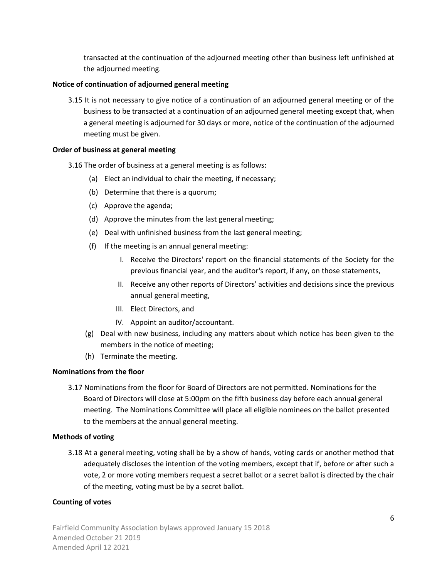transacted at the continuation of the adjourned meeting other than business left unfinished at the adjourned meeting.

# **Notice of continuation of adjourned general meeting**

3.15 It is not necessary to give notice of a continuation of an adjourned general meeting or of the business to be transacted at a continuation of an adjourned general meeting except that, when a general meeting is adjourned for 30 days or more, notice of the continuation of the adjourned meeting must be given.

### **Order of business at general meeting**

- 3.16 The order of business at a general meeting is as follows:
	- (a) Elect an individual to chair the meeting, if necessary;
	- (b) Determine that there is a quorum;
	- (c) Approve the agenda;
	- (d) Approve the minutes from the last general meeting;
	- (e) Deal with unfinished business from the last general meeting;
	- (f) If the meeting is an annual general meeting:
		- I. Receive the Directors' report on the financial statements of the Society for the previous financial year, and the auditor's report, if any, on those statements,
		- II. Receive any other reports of Directors' activities and decisions since the previous annual general meeting,
		- III. Elect Directors, and
		- IV. Appoint an auditor/accountant.
	- (g) Deal with new business, including any matters about which notice has been given to the members in the notice of meeting;
	- (h) Terminate the meeting.

### **Nominations from the floor**

3.17 Nominations from the floor for Board of Directors are not permitted. Nominations for the Board of Directors will close at 5:00pm on the fifth business day before each annual general meeting. The Nominations Committee will place all eligible nominees on the ballot presented to the members at the annual general meeting.

### **Methods of voting**

3.18 At a general meeting, voting shall be by a show of hands, voting cards or another method that adequately discloses the intention of the voting members, except that if, before or after such a vote, 2 or more voting members request a secret ballot or a secret ballot is directed by the chair of the meeting, voting must be by a secret ballot.

# **Counting of votes**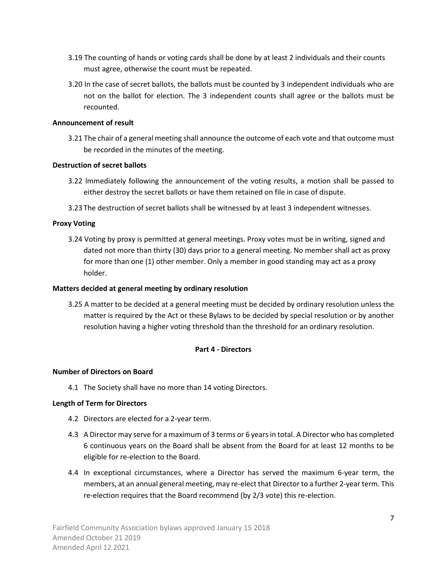- 3.19 The counting of hands or voting cards shall be done by at least 2 individuals and their counts must agree, otherwise the count must be repeated.
- 3.20 In the case of secret ballots, the ballots must be counted by 3 independent individuals who are not on the ballot for election. The 3 independent counts shall agree or the ballots must be recounted.

# **Announcement of result**

3.21 The chair of a general meeting shall announce the outcome of each vote and that outcome must be recorded in the minutes of the meeting.

# **Destruction of secret ballots**

- 3.22 Immediately following the announcement of the voting results, a motion shall be passed to either destroy the secret ballots or have them retained on file in case of dispute.
- 3.23 The destruction of secret ballots shall be witnessed by at least 3 independent witnesses.

# **Proxy Voting**

3.24 Voting by proxy is permitted at general meetings. Proxy votes must be in writing, signed and dated not more than thirty (30) days prior to a general meeting. No member shall act as proxy for more than one (1) other member. Only a member in good standing may act as a proxy holder.

### **Matters decided at general meeting by ordinary resolution**

3.25 A matter to be decided at a general meeting must be decided by ordinary resolution unless the matter is required by the Act or these Bylaws to be decided by special resolution or by another resolution having a higher voting threshold than the threshold for an ordinary resolution.

# **Part 4 - Directors**

### **Number of Directors on Board**

4.1 The Society shall have no more than 14 voting Directors.

# **Length of Term for Directors**

- 4.2 Directors are elected for a 2-year term.
- 4.3 A Director may serve for a maximum of 3 terms or 6 years in total. A Director who has completed 6 continuous years on the Board shall be absent from the Board for at least 12 months to be eligible for re-election to the Board.
- 4.4 In exceptional circumstances, where a Director has served the maximum 6-year term, the members, at an annual general meeting, may re-elect that Director to a further 2-year term. This re-election requires that the Board recommend (by 2/3 vote) this re-election.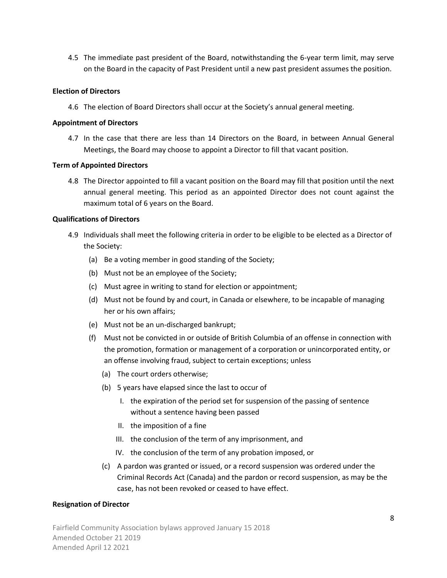4.5 The immediate past president of the Board, notwithstanding the 6-year term limit, may serve on the Board in the capacity of Past President until a new past president assumes the position.

### **Election of Directors**

4.6 The election of Board Directors shall occur at the Society's annual general meeting.

#### **Appointment of Directors**

4.7 In the case that there are less than 14 Directors on the Board, in between Annual General Meetings, the Board may choose to appoint a Director to fill that vacant position.

#### **Term of Appointed Directors**

4.8 The Director appointed to fill a vacant position on the Board may fill that position until the next annual general meeting. This period as an appointed Director does not count against the maximum total of 6 years on the Board.

#### **Qualifications of Directors**

- 4.9 Individuals shall meet the following criteria in order to be eligible to be elected as a Director of the Society:
	- (a) Be a voting member in good standing of the Society;
	- (b) Must not be an employee of the Society;
	- (c) Must agree in writing to stand for election or appointment;
	- (d) Must not be found by and court, in Canada or elsewhere, to be incapable of managing her or his own affairs;
	- (e) Must not be an un-discharged bankrupt;
	- (f) Must not be convicted in or outside of British Columbia of an offense in connection with the promotion, formation or management of a corporation or unincorporated entity, or an offense involving fraud, subject to certain exceptions; unless
		- (a) The court orders otherwise;
		- (b) 5 years have elapsed since the last to occur of
			- I. the expiration of the period set for suspension of the passing of sentence without a sentence having been passed
			- II. the imposition of a fine
			- III. the conclusion of the term of any imprisonment, and
			- IV. the conclusion of the term of any probation imposed, or
		- (c) A pardon was granted or issued, or a record suspension was ordered under the Criminal Records Act (Canada) and the pardon or record suspension, as may be the case, has not been revoked or ceased to have effect.

### **Resignation of Director**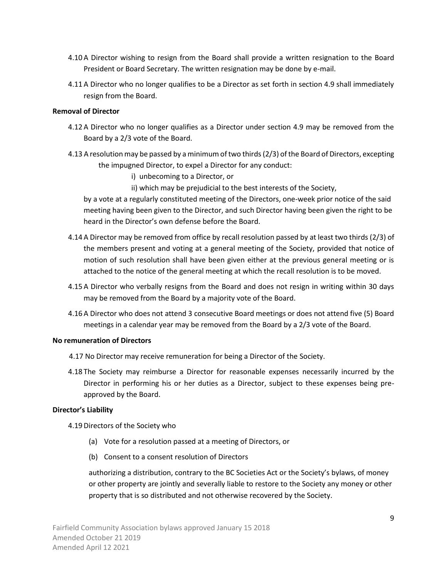- 4.10 A Director wishing to resign from the Board shall provide a written resignation to the Board President or Board Secretary. The written resignation may be done by e-mail.
- 4.11 A Director who no longer qualifies to be a Director as set forth in section 4.9 shall immediately resign from the Board.

#### **Removal of Director**

- 4.12 A Director who no longer qualifies as a Director under section 4.9 may be removed from the Board by a 2/3 vote of the Board.
- 4.13 A resolution may be passed by a minimum of two thirds(2/3) of the Board of Directors, excepting the impugned Director, to expel a Director for any conduct:
	- i) unbecoming to a Director, or
	- ii) which may be prejudicial to the best interests of the Society,

by a vote at a regularly constituted meeting of the Directors, one-week prior notice of the said meeting having been given to the Director, and such Director having been given the right to be heard in the Director's own defense before the Board.

- 4.14 A Director may be removed from office by recall resolution passed by at least two thirds (2/3) of the members present and voting at a general meeting of the Society, provided that notice of motion of such resolution shall have been given either at the previous general meeting or is attached to the notice of the general meeting at which the recall resolution is to be moved.
- 4.15 A Director who verbally resigns from the Board and does not resign in writing within 30 days may be removed from the Board by a majority vote of the Board.
- 4.16 A Director who does not attend 3 consecutive Board meetings or does not attend five (5) Board meetings in a calendar year may be removed from the Board by a 2/3 vote of the Board.

### **No remuneration of Directors**

- 4.17 No Director may receive remuneration for being a Director of the Society.
- 4.18 The Society may reimburse a Director for reasonable expenses necessarily incurred by the Director in performing his or her duties as a Director, subject to these expenses being preapproved by the Board.

### **Director's Liability**

4.19Directors of the Society who

- (a) Vote for a resolution passed at a meeting of Directors, or
- (b) Consent to a consent resolution of Directors

authorizing a distribution, contrary to the BC Societies Act or the Society's bylaws, of money or other property are jointly and severally liable to restore to the Society any money or other property that is so distributed and not otherwise recovered by the Society.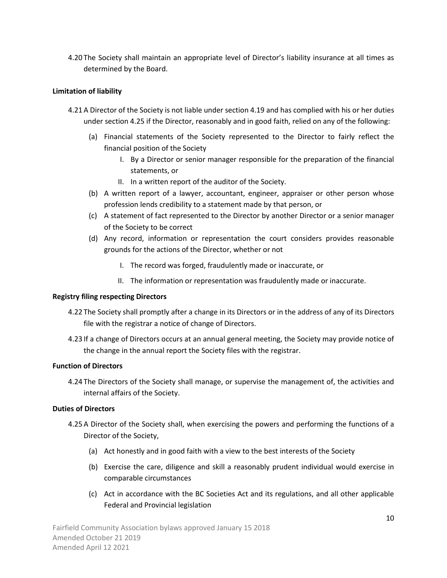4.20 The Society shall maintain an appropriate level of Director's liability insurance at all times as determined by the Board.

### **Limitation of liability**

- 4.21 A Director of the Society is not liable under section 4.19 and has complied with his or her duties under section 4.25 if the Director, reasonably and in good faith, relied on any of the following:
	- (a) Financial statements of the Society represented to the Director to fairly reflect the financial position of the Society
		- I. By a Director or senior manager responsible for the preparation of the financial statements, or
		- II. In a written report of the auditor of the Society.
	- (b) A written report of a lawyer, accountant, engineer, appraiser or other person whose profession lends credibility to a statement made by that person, or
	- (c) A statement of fact represented to the Director by another Director or a senior manager of the Society to be correct
	- (d) Any record, information or representation the court considers provides reasonable grounds for the actions of the Director, whether or not
		- I. The record was forged, fraudulently made or inaccurate, or
		- II. The information or representation was fraudulently made or inaccurate.

### **Registry filing respecting Directors**

- 4.22 The Society shall promptly after a change in its Directors or in the address of any of its Directors file with the registrar a notice of change of Directors.
- 4.23 If a change of Directors occurs at an annual general meeting, the Society may provide notice of the change in the annual report the Society files with the registrar.

### **Function of Directors**

4.24 The Directors of the Society shall manage, or supervise the management of, the activities and internal affairs of the Society.

### **Duties of Directors**

- 4.25 A Director of the Society shall, when exercising the powers and performing the functions of a Director of the Society,
	- (a) Act honestly and in good faith with a view to the best interests of the Society
	- (b) Exercise the care, diligence and skill a reasonably prudent individual would exercise in comparable circumstances
	- (c) Act in accordance with the BC Societies Act and its regulations, and all other applicable Federal and Provincial legislation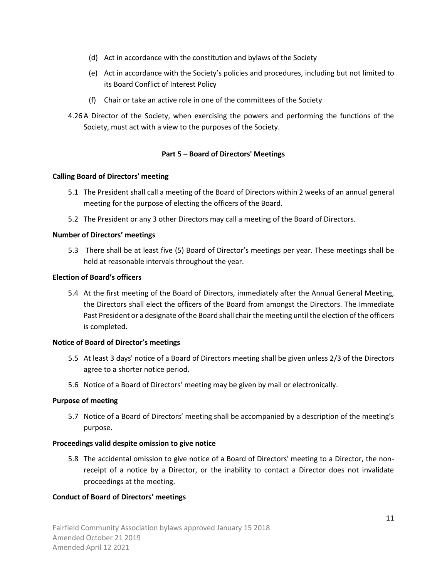- (d) Act in accordance with the constitution and bylaws of the Society
- (e) Act in accordance with the Society's policies and procedures, including but not limited to its Board Conflict of Interest Policy
- (f) Chair or take an active role in one of the committees of the Society
- 4.26 A Director of the Society, when exercising the powers and performing the functions of the Society, must act with a view to the purposes of the Society.

# **Part 5 – Board of Directors' Meetings**

### **Calling Board of Directors' meeting**

- 5.1 The President shall call a meeting of the Board of Directors within 2 weeks of an annual general meeting for the purpose of electing the officers of the Board.
- 5.2 The President or any 3 other Directors may call a meeting of the Board of Directors.

# **Number of Directors' meetings**

5.3 There shall be at least five (5) Board of Director's meetings per year. These meetings shall be held at reasonable intervals throughout the year.

### **Election of Board's officers**

5.4 At the first meeting of the Board of Directors, immediately after the Annual General Meeting, the Directors shall elect the officers of the Board from amongst the Directors. The Immediate Past President or a designate of the Board shall chair the meeting until the election of the officers is completed.

### **Notice of Board of Director's meetings**

- 5.5 At least 3 days' notice of a Board of Directors meeting shall be given unless 2/3 of the Directors agree to a shorter notice period.
- 5.6 Notice of a Board of Directors' meeting may be given by mail or electronically.

### **Purpose of meeting**

5.7 Notice of a Board of Directors' meeting shall be accompanied by a description of the meeting's purpose.

### **Proceedings valid despite omission to give notice**

5.8 The accidental omission to give notice of a Board of Directors' meeting to a Director, the nonreceipt of a notice by a Director, or the inability to contact a Director does not invalidate proceedings at the meeting.

### **Conduct of Board of Directors' meetings**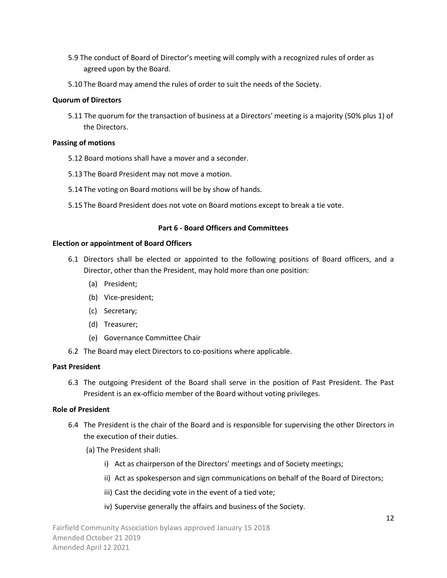- 5.9 The conduct of Board of Director's meeting will comply with a recognized rules of order as agreed upon by the Board.
- 5.10 The Board may amend the rules of order to suit the needs of the Society.

### **Quorum of Directors**

5.11 The quorum for the transaction of business at a Directors' meeting is a majority (50% plus 1) of the Directors.

### **Passing of motions**

- 5.12 Board motions shall have a mover and a seconder.
- 5.13 The Board President may not move a motion.
- 5.14 The voting on Board motions will be by show of hands.
- 5.15 The Board President does not vote on Board motions except to break a tie vote.

### **Part 6 - Board Officers and Committees**

### **Election or appointment of Board Officers**

- 6.1 Directors shall be elected or appointed to the following positions of Board officers, and a Director, other than the President, may hold more than one position:
	- (a) President;
	- (b) Vice-president;
	- (c) Secretary;
	- (d) Treasurer;
	- (e) Governance Committee Chair
- 6.2 The Board may elect Directors to co-positions where applicable.

### **Past President**

6.3 The outgoing President of the Board shall serve in the position of Past President. The Past President is an ex-officio member of the Board without voting privileges.

# **Role of President**

- 6.4 The President is the chair of the Board and is responsible for supervising the other Directors in the execution of their duties.
	- (a) The President shall:
		- i) Act as chairperson of the Directors' meetings and of Society meetings;
		- ii) Act as spokesperson and sign communications on behalf of the Board of Directors;
		- iii) Cast the deciding vote in the event of a tied vote;
		- iv) Supervise generally the affairs and business of the Society.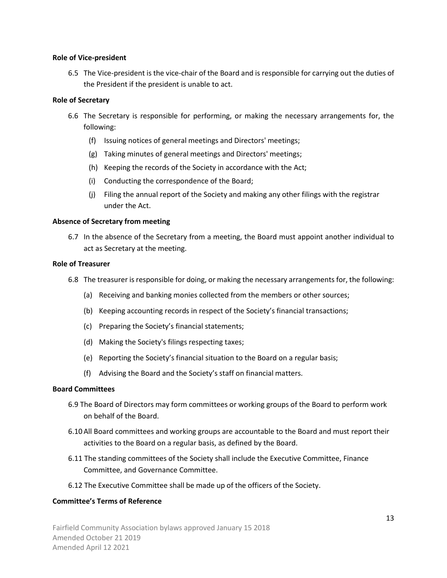#### **Role of Vice-president**

6.5 The Vice-president is the vice-chair of the Board and is responsible for carrying out the duties of the President if the president is unable to act.

#### **Role of Secretary**

- 6.6 The Secretary is responsible for performing, or making the necessary arrangements for, the following:
	- (f) Issuing notices of general meetings and Directors' meetings;
	- (g) Taking minutes of general meetings and Directors' meetings;
	- (h) Keeping the records of the Society in accordance with the Act;
	- (i) Conducting the correspondence of the Board;
	- (j) Filing the annual report of the Society and making any other filings with the registrar under the Act.

#### **Absence of Secretary from meeting**

6.7 In the absence of the Secretary from a meeting, the Board must appoint another individual to act as Secretary at the meeting.

#### **Role of Treasurer**

- 6.8 The treasurer is responsible for doing, or making the necessary arrangements for, the following:
	- (a) Receiving and banking monies collected from the members or other sources;
	- (b) Keeping accounting records in respect of the Society's financial transactions;
	- (c) Preparing the Society's financial statements;
	- (d) Making the Society's filings respecting taxes;
	- (e) Reporting the Society's financial situation to the Board on a regular basis;
	- (f) Advising the Board and the Society's staff on financial matters.

### **Board Committees**

- 6.9 The Board of Directors may form committees or working groups of the Board to perform work on behalf of the Board.
- 6.10 All Board committees and working groups are accountable to the Board and must report their activities to the Board on a regular basis, as defined by the Board.
- 6.11 The standing committees of the Society shall include the Executive Committee, Finance Committee, and Governance Committee.
- 6.12 The Executive Committee shall be made up of the officers of the Society.

### **Committee's Terms of Reference**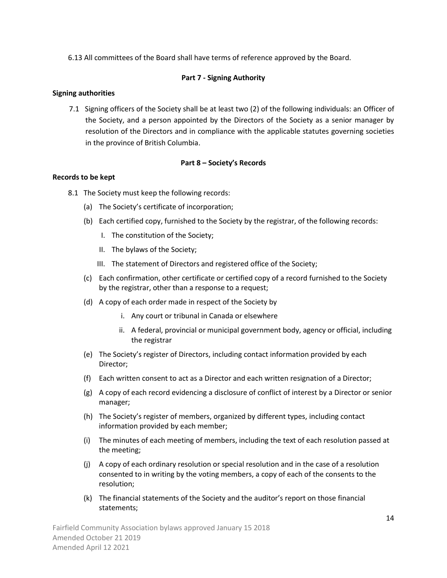6.13 All committees of the Board shall have terms of reference approved by the Board.

# **Part 7 - Signing Authority**

### **Signing authorities**

7.1 Signing officers of the Society shall be at least two (2) of the following individuals: an Officer of the Society, and a person appointed by the Directors of the Society as a senior manager by resolution of the Directors and in compliance with the applicable statutes governing societies in the province of British Columbia.

# **Part 8 – Society's Records**

### **Records to be kept**

- 8.1 The Society must keep the following records:
	- (a) The Society's certificate of incorporation;
	- (b) Each certified copy, furnished to the Society by the registrar, of the following records:
		- I. The constitution of the Society;
		- II. The bylaws of the Society;
		- III. The statement of Directors and registered office of the Society;
	- (c) Each confirmation, other certificate or certified copy of a record furnished to the Society by the registrar, other than a response to a request;
	- (d) A copy of each order made in respect of the Society by
		- i. Any court or tribunal in Canada or elsewhere
		- ii. A federal, provincial or municipal government body, agency or official, including the registrar
	- (e) The Society's register of Directors, including contact information provided by each Director;
	- (f) Each written consent to act as a Director and each written resignation of a Director;
	- (g) A copy of each record evidencing a disclosure of conflict of interest by a Director or senior manager;
	- (h) The Society's register of members, organized by different types, including contact information provided by each member;
	- (i) The minutes of each meeting of members, including the text of each resolution passed at the meeting;
	- (j) A copy of each ordinary resolution or special resolution and in the case of a resolution consented to in writing by the voting members, a copy of each of the consents to the resolution;
	- (k) The financial statements of the Society and the auditor's report on those financial statements;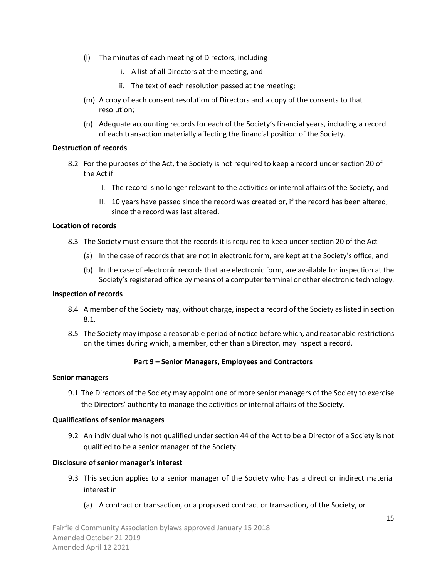- (l) The minutes of each meeting of Directors, including
	- i. A list of all Directors at the meeting, and
	- ii. The text of each resolution passed at the meeting;
- (m) A copy of each consent resolution of Directors and a copy of the consents to that resolution;
- (n) Adequate accounting records for each of the Society's financial years, including a record of each transaction materially affecting the financial position of the Society.

#### **Destruction of records**

- 8.2 For the purposes of the Act, the Society is not required to keep a record under section 20 of the Act if
	- I. The record is no longer relevant to the activities or internal affairs of the Society, and
	- II. 10 years have passed since the record was created or, if the record has been altered, since the record was last altered.

#### **Location of records**

- 8.3 The Society must ensure that the records it is required to keep under section 20 of the Act
	- (a) In the case of records that are not in electronic form, are kept at the Society's office, and
	- (b) In the case of electronic records that are electronic form, are available for inspection at the Society's registered office by means of a computer terminal or other electronic technology.

#### **Inspection of records**

- 8.4 A member of the Society may, without charge, inspect a record of the Society as listed in section 8.1.
- 8.5 The Society may impose a reasonable period of notice before which, and reasonable restrictions on the times during which, a member, other than a Director, may inspect a record.

### **Part 9 – Senior Managers, Employees and Contractors**

#### **Senior managers**

9.1 The Directors of the Society may appoint one of more senior managers of the Society to exercise the Directors' authority to manage the activities or internal affairs of the Society.

#### **Qualifications of senior managers**

9.2 An individual who is not qualified under section 44 of the Act to be a Director of a Society is not qualified to be a senior manager of the Society.

#### **Disclosure of senior manager's interest**

- 9.3 This section applies to a senior manager of the Society who has a direct or indirect material interest in
	- (a) A contract or transaction, or a proposed contract or transaction, of the Society, or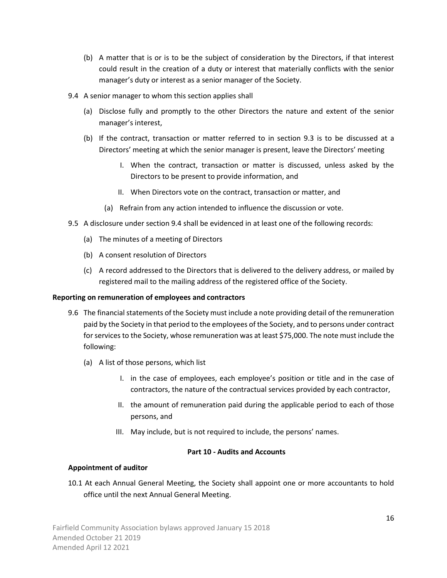- (b) A matter that is or is to be the subject of consideration by the Directors, if that interest could result in the creation of a duty or interest that materially conflicts with the senior manager's duty or interest as a senior manager of the Society.
- 9.4 A senior manager to whom this section applies shall
	- (a) Disclose fully and promptly to the other Directors the nature and extent of the senior manager's interest,
	- (b) If the contract, transaction or matter referred to in section 9.3 is to be discussed at a Directors' meeting at which the senior manager is present, leave the Directors' meeting
		- I. When the contract, transaction or matter is discussed, unless asked by the Directors to be present to provide information, and
		- II. When Directors vote on the contract, transaction or matter, and
		- (a) Refrain from any action intended to influence the discussion or vote.
- 9.5 A disclosure under section 9.4 shall be evidenced in at least one of the following records:
	- (a) The minutes of a meeting of Directors
	- (b) A consent resolution of Directors
	- (c) A record addressed to the Directors that is delivered to the delivery address, or mailed by registered mail to the mailing address of the registered office of the Society.

### **Reporting on remuneration of employees and contractors**

- 9.6 The financial statements of the Society must include a note providing detail of the remuneration paid by the Society in that period to the employees of the Society, and to persons under contract for services to the Society, whose remuneration was at least \$75,000. The note must include the following:
	- (a) A list of those persons, which list
		- I. in the case of employees, each employee's position or title and in the case of contractors, the nature of the contractual services provided by each contractor,
		- II. the amount of remuneration paid during the applicable period to each of those persons, and
		- III. May include, but is not required to include, the persons' names.

### **Part 10 - Audits and Accounts**

### **Appointment of auditor**

10.1 At each Annual General Meeting, the Society shall appoint one or more accountants to hold office until the next Annual General Meeting.